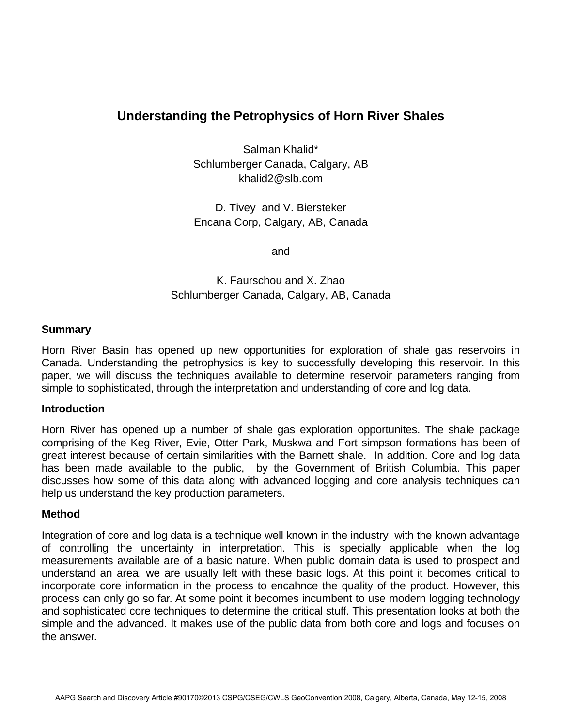## **Understanding the Petrophysics of Horn River Shales**

Salman Khalid\* Schlumberger Canada, Calgary, AB khalid2@slb.com

D. Tivey and V. Biersteker Encana Corp, Calgary, AB, Canada

and

K. Faurschou and X. Zhao Schlumberger Canada, Calgary, AB, Canada

## **Summary**

Horn River Basin has opened up new opportunities for exploration of shale gas reservoirs in Canada. Understanding the petrophysics is key to successfully developing this reservoir. In this paper, we will discuss the techniques available to determine reservoir parameters ranging from simple to sophisticated, through the interpretation and understanding of core and log data.

## **Introduction**

Horn River has opened up a number of shale gas exploration opportunites. The shale package comprising of the Keg River, Evie, Otter Park, Muskwa and Fort simpson formations has been of great interest because of certain similarities with the Barnett shale. In addition. Core and log data has been made available to the public, by the Government of British Columbia. This paper discusses how some of this data along with advanced logging and core analysis techniques can help us understand the key production parameters.

## **Method**

Integration of core and log data is a technique well known in the industry with the known advantage of controlling the uncertainty in interpretation. This is specially applicable when the log measurements available are of a basic nature. When public domain data is used to prospect and understand an area, we are usually left with these basic logs. At this point it becomes critical to incorporate core information in the process to encahnce the quality of the product. However, this process can only go so far. At some point it becomes incumbent to use modern logging technology and sophisticated core techniques to determine the critical stuff. This presentation looks at both the simple and the advanced. It makes use of the public data from both core and logs and focuses on the answer.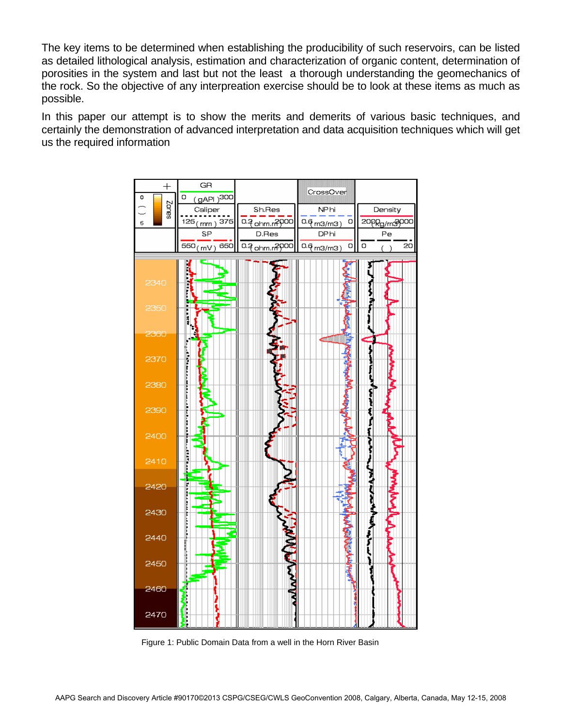The key items to be determined when establishing the producibility of such reservoirs, can be listed as detailed lithological analysis, estimation and characterization of organic content, determination of porosities in the system and last but not the least a thorough understanding the geomechanics of the rock. So the objective of any interpreation exercise should be to look at these items as much as possible.

In this paper our attempt is to show the merits and demerits of various basic techniques, and certainly the demonstration of advanced interpretation and data acquisition techniques which will get us the required information



Figure 1: Public Domain Data from a well in the Horn River Basin